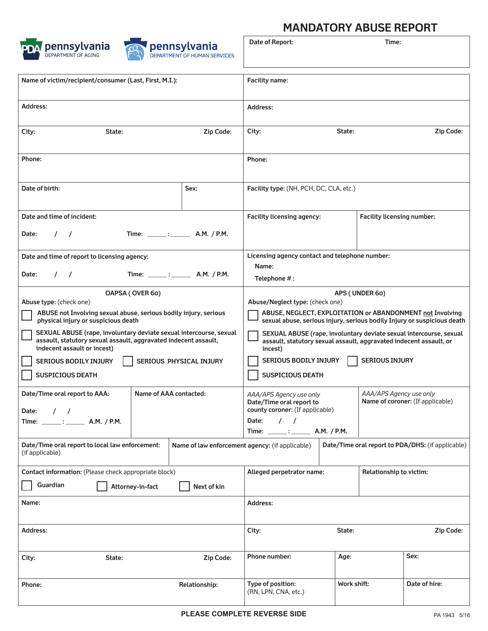



## **MANDATORY ABUSE REPORT**

| pennsylvania<br>DEPARTMENT OF AGING                                                                                                                                  |                                                                                                                                                     | <b>pennsylvania</b><br><b>DEPARTMENT OF HUMAN SERVICES</b> | Date of Report:                                                                                                    |             | Time:                                             |               |  |
|----------------------------------------------------------------------------------------------------------------------------------------------------------------------|-----------------------------------------------------------------------------------------------------------------------------------------------------|------------------------------------------------------------|--------------------------------------------------------------------------------------------------------------------|-------------|---------------------------------------------------|---------------|--|
| Name of victim/recipient/consumer (Last, First, M.I.):                                                                                                               |                                                                                                                                                     |                                                            | Facility name:                                                                                                     |             |                                                   |               |  |
| Address:                                                                                                                                                             |                                                                                                                                                     |                                                            | Address:                                                                                                           |             |                                                   |               |  |
| State:<br>City:                                                                                                                                                      |                                                                                                                                                     | Zip Code:                                                  | City:                                                                                                              | State:      |                                                   | Zip Code:     |  |
| Phone:                                                                                                                                                               |                                                                                                                                                     |                                                            | Phone:                                                                                                             |             |                                                   |               |  |
| Date of birth:                                                                                                                                                       |                                                                                                                                                     | Sex:                                                       | Facility type: (NH, PCH, DC, CLA, etc.)                                                                            |             |                                                   |               |  |
| Date and time of incident:                                                                                                                                           |                                                                                                                                                     |                                                            | <b>Facility licensing agency:</b>                                                                                  |             | Facility licensing number:                        |               |  |
| Date:<br>$\prime$                                                                                                                                                    | Time: : A.M. / P.M.                                                                                                                                 |                                                            |                                                                                                                    |             |                                                   |               |  |
| Date and time of report to licensing agency:                                                                                                                         |                                                                                                                                                     |                                                            | Licensing agency contact and telephone number:                                                                     |             |                                                   |               |  |
| Date:<br>$\sqrt{ }$                                                                                                                                                  |                                                                                                                                                     |                                                            | Name:<br>Telephone #:                                                                                              |             |                                                   |               |  |
| OAPSA (OVER 60)                                                                                                                                                      | APS (UNDER 60)                                                                                                                                      |                                                            |                                                                                                                    |             |                                                   |               |  |
| <b>Abuse type:</b> (check one)                                                                                                                                       | Abuse/Neglect type: (check one)                                                                                                                     |                                                            |                                                                                                                    |             |                                                   |               |  |
| ABUSE not Involving sexual abuse, serious bodily injury, serious<br>physical injury or suspicious death                                                              | ABUSE, NEGLECT, EXPLOITATION or ABANDONMENT not Involving<br>sexual abuse, serious injury, serious bodily Injury or suspicious death                |                                                            |                                                                                                                    |             |                                                   |               |  |
| SEXUAL ABUSE (rape, involuntary deviate sexual intercourse, sexual<br>assault, statutory sexual assault, aggravated indecent assault,<br>indecent assault or incest) | SEXUAL ABUSE (rape, involuntary deviate sexual intercourse, sexual<br>assault, statutory sexual assault, aggravated indecent assault, or<br>incest) |                                                            |                                                                                                                    |             |                                                   |               |  |
| <b>SERIOUS BODILY INJURY</b>                                                                                                                                         | <b>SERIOUS BODILY INJURY</b><br><b>SERIOUS INJURY</b>                                                                                               |                                                            |                                                                                                                    |             |                                                   |               |  |
| <b>SUSPICIOUS DEATH</b>                                                                                                                                              | <b>SUSPICIOUS DEATH</b>                                                                                                                             |                                                            |                                                                                                                    |             |                                                   |               |  |
| Name of AAA contacted:<br>Date/Time oral report to AAA:                                                                                                              |                                                                                                                                                     |                                                            | AAA/APS Agency use only<br>AAA/APS Agency use only<br>Name of coroner: (If applicable)<br>Date/Time oral report to |             |                                                   |               |  |
| Date:<br>$\prime$<br>$\sqrt{ }$                                                                                                                                      |                                                                                                                                                     |                                                            | county coroner: (If applicable)                                                                                    |             |                                                   |               |  |
| Time: $\_\_\_\_\_\$ :<br>A.M. / P.M.                                                                                                                                 |                                                                                                                                                     |                                                            | Date:<br>$\prime$ $\prime$<br>Time: ______: _________ A.M. / P.M.                                                  |             |                                                   |               |  |
| Date/Time oral report to local law enforcement:<br>(if applicable)                                                                                                   | Name of law enforcement agency: (if applicable)                                                                                                     |                                                            |                                                                                                                    |             | Date/Time oral report to PDA/DHS: (if applicable) |               |  |
| Contact information: (Please check appropriate block)                                                                                                                |                                                                                                                                                     |                                                            | Relationship to victim:<br>Alleged perpetrator name:                                                               |             |                                                   |               |  |
| Guardian<br>Attorney-in-fact                                                                                                                                         |                                                                                                                                                     |                                                            |                                                                                                                    |             |                                                   |               |  |
| Name:                                                                                                                                                                | Address:                                                                                                                                            |                                                            |                                                                                                                    |             |                                                   |               |  |
| Address:                                                                                                                                                             |                                                                                                                                                     |                                                            | City:                                                                                                              | State:      |                                                   | Zip Code:     |  |
|                                                                                                                                                                      |                                                                                                                                                     |                                                            |                                                                                                                    |             |                                                   |               |  |
| City:<br>State:<br>Zip Code:                                                                                                                                         |                                                                                                                                                     | <b>Phone number:</b>                                       | Age:                                                                                                               |             | Sex:                                              |               |  |
| Phone:                                                                                                                                                               |                                                                                                                                                     | Relationship:                                              | Type of position:<br>(RN, LPN, CNA, etc.)                                                                          | Work shift: |                                                   | Date of hire: |  |